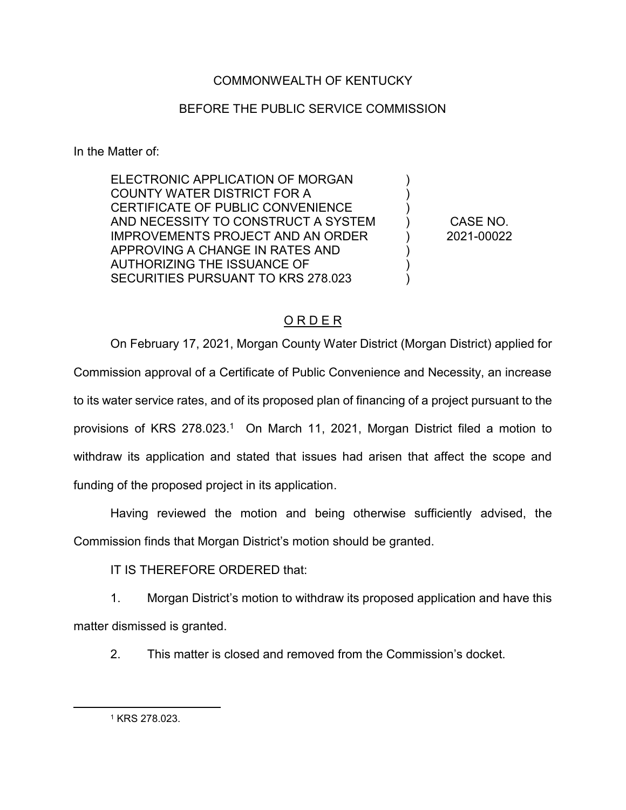## COMMONWEALTH OF KENTUCKY

## BEFORE THE PUBLIC SERVICE COMMISSION

In the Matter of:

ELECTRONIC APPLICATION OF MORGAN COUNTY WATER DISTRICT FOR A CERTIFICATE OF PUBLIC CONVENIENCE AND NECESSITY TO CONSTRUCT A SYSTEM IMPROVEMENTS PROJECT AND AN ORDER APPROVING A CHANGE IN RATES AND AUTHORIZING THE ISSUANCE OF SECURITIES PURSUANT TO KRS 278.023

CASE NO. 2021-00022

)  $\lambda$ ) ) )  $\lambda$ )  $\lambda$ 

## O R D E R

On February 17, 2021, Morgan County Water District (Morgan District) applied for Commission approval of a Certificate of Public Convenience and Necessity, an increase to its water service rates, and of its proposed plan of financing of a project pursuant to the provisions of KRS 278.023.<sup>1</sup> On March 11, 2021, Morgan District filed a motion to withdraw its application and stated that issues had arisen that affect the scope and funding of the proposed project in its application.

Having reviewed the motion and being otherwise sufficiently advised, the Commission finds that Morgan District's motion should be granted.

IT IS THEREFORE ORDERED that:

1. Morgan District's motion to withdraw its proposed application and have this matter dismissed is granted.

2. This matter is closed and removed from the Commission's docket.

 $\overline{a}$ 

<sup>1</sup> KRS 278.023.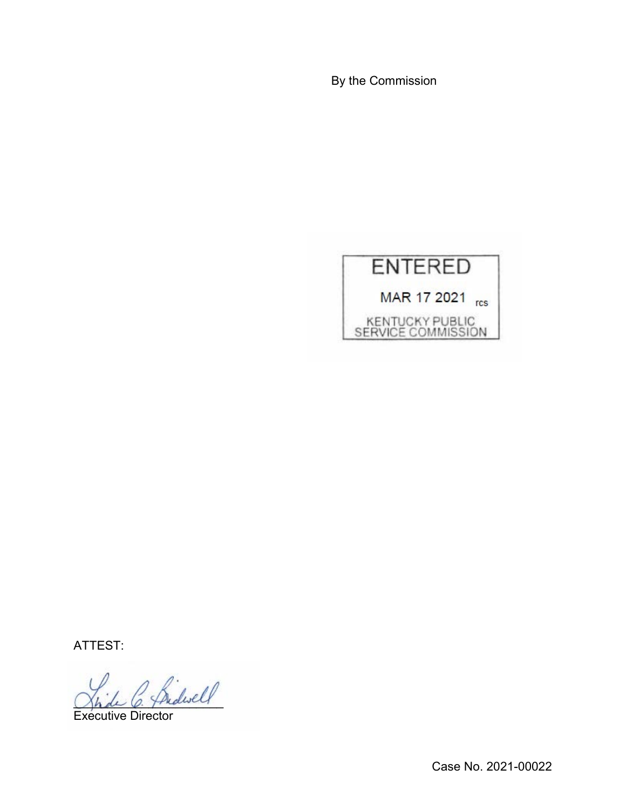By the Commission



ATTEST:

 $\Delta$ 

Executive Director

Case No. 2021-00022